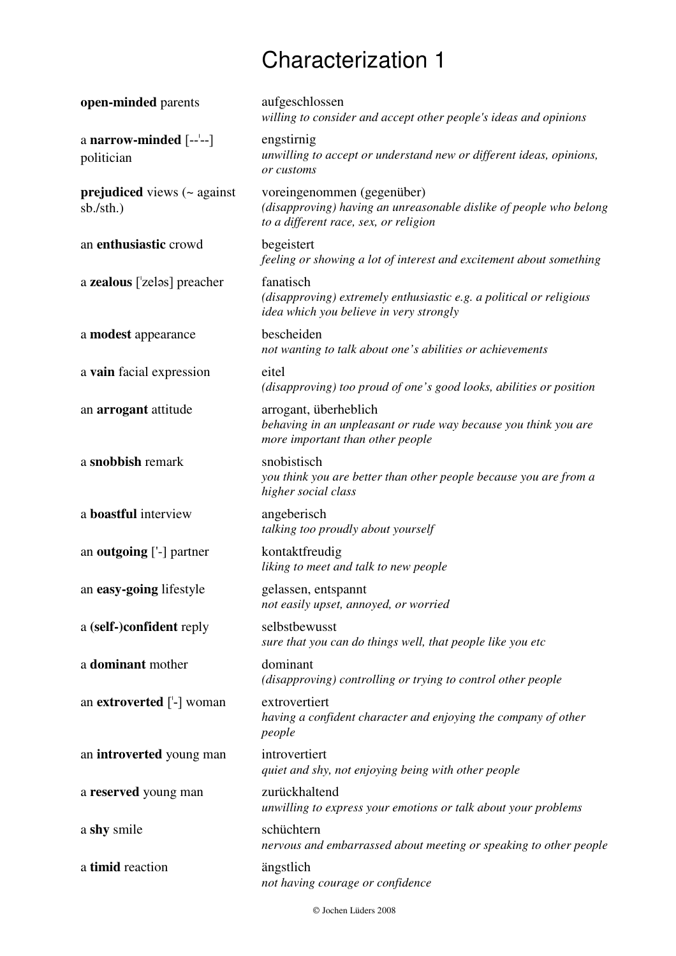## Characterization 1

| open-minded parents                        | aufgeschlossen<br>willing to consider and accept other people's ideas and opinions                                                        |
|--------------------------------------------|-------------------------------------------------------------------------------------------------------------------------------------------|
| a narrow-minded $[-,-]$<br>politician      | engstirnig<br>unwilling to accept or understand new or different ideas, opinions,<br>or customs                                           |
| prejudiced views (~ against<br>sb./sth.)   | voreingenommen (gegenüber)<br>(disapproving) having an unreasonable dislike of people who belong<br>to a different race, sex, or religion |
| an enthusiastic crowd                      | begeistert<br>feeling or showing a lot of interest and excitement about something                                                         |
| a zealous $\lceil$ zeləs $\rceil$ preacher | fanatisch<br>(disapproving) extremely enthusiastic e.g. a political or religious<br>idea which you believe in very strongly               |
| a modest appearance                        | bescheiden<br>not wanting to talk about one's abilities or achievements                                                                   |
| a vain facial expression                   | eitel<br>(disapproving) too proud of one's good looks, abilities or position                                                              |
| an arrogant attitude                       | arrogant, überheblich<br>behaving in an unpleasant or rude way because you think you are<br>more important than other people              |
| a snobbish remark                          | snobistisch<br>you think you are better than other people because you are from a<br>higher social class                                   |
| a <b>boastful</b> interview                | angeberisch<br>talking too proudly about yourself                                                                                         |
| an <b>outgoing</b> ['-] partner            | kontaktfreudig<br>liking to meet and talk to new people                                                                                   |
| an easy-going lifestyle                    | gelassen, entspannt<br>not easily upset, annoyed, or worried                                                                              |
| a (self-)confident reply                   | selbstbewusst<br>sure that you can do things well, that people like you etc                                                               |
| a dominant mother                          | dominant<br>(disapproving) controlling or trying to control other people                                                                  |
| an <b>extroverted</b> ['-] woman           | extrovertiert<br>having a confident character and enjoying the company of other<br>people                                                 |
| an introverted young man                   | introvertiert<br>quiet and shy, not enjoying being with other people                                                                      |
| a reserved young man                       | zurückhaltend<br>unwilling to express your emotions or talk about your problems                                                           |
| a shy smile                                | schüchtern<br>nervous and embarrassed about meeting or speaking to other people                                                           |
| a timid reaction                           | ängstlich<br>not having courage or confidence                                                                                             |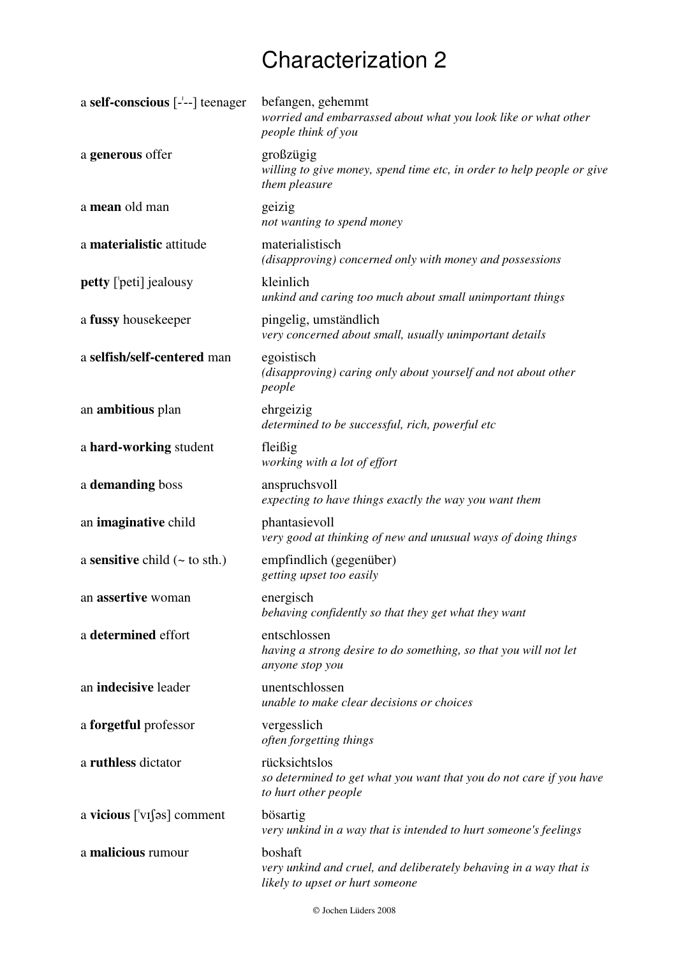## Characterization 2

| a self-conscious $\left[-\right]$ teenager  | befangen, gehemmt<br>worried and embarrassed about what you look like or what other<br>people think of you      |
|---------------------------------------------|-----------------------------------------------------------------------------------------------------------------|
| a generous offer                            | großzügig<br>willing to give money, spend time etc, in order to help people or give<br>them pleasure            |
| a mean old man                              | geizig<br>not wanting to spend money                                                                            |
| a materialistic attitude                    | materialistisch<br>(disapproving) concerned only with money and possessions                                     |
| <b>petty</b> ['peti] jealousy               | kleinlich<br>unkind and caring too much about small unimportant things                                          |
| a fussy housekeeper                         | pingelig, umständlich<br>very concerned about small, usually unimportant details                                |
| a selfish/self-centered man                 | egoistisch<br>(disapproving) caring only about yourself and not about other<br>people                           |
| an <b>ambitious</b> plan                    | ehrgeizig<br>determined to be successful, rich, powerful etc                                                    |
| a hard-working student                      | fleißig<br>working with a lot of effort                                                                         |
| a demanding boss                            | anspruchsvoll<br>expecting to have things exactly the way you want them                                         |
| an imaginative child                        | phantasievoll<br>very good at thinking of new and unusual ways of doing things                                  |
| a sensitive child $(\sim \text{to sth.})$   | empfindlich (gegenüber)<br>getting upset too easily                                                             |
| an assertive woman                          | energisch<br>behaving confidently so that they get what they want                                               |
| a determined effort                         | entschlossen<br>having a strong desire to do something, so that you will not let<br>anyone stop you             |
| an indecisive leader                        | unentschlossen<br>unable to make clear decisions or choices                                                     |
| a forgetful professor                       | vergesslich<br>often forgetting things                                                                          |
| a ruthless dictator                         | rücksichtslos<br>so determined to get what you want that you do not care if you have<br>to hurt other people    |
| a vicious $\lceil \forall x \rfloor$ omment | bösartig<br>very unkind in a way that is intended to hurt someone's feelings                                    |
| a malicious rumour                          | boshaft<br>very unkind and cruel, and deliberately behaving in a way that is<br>likely to upset or hurt someone |